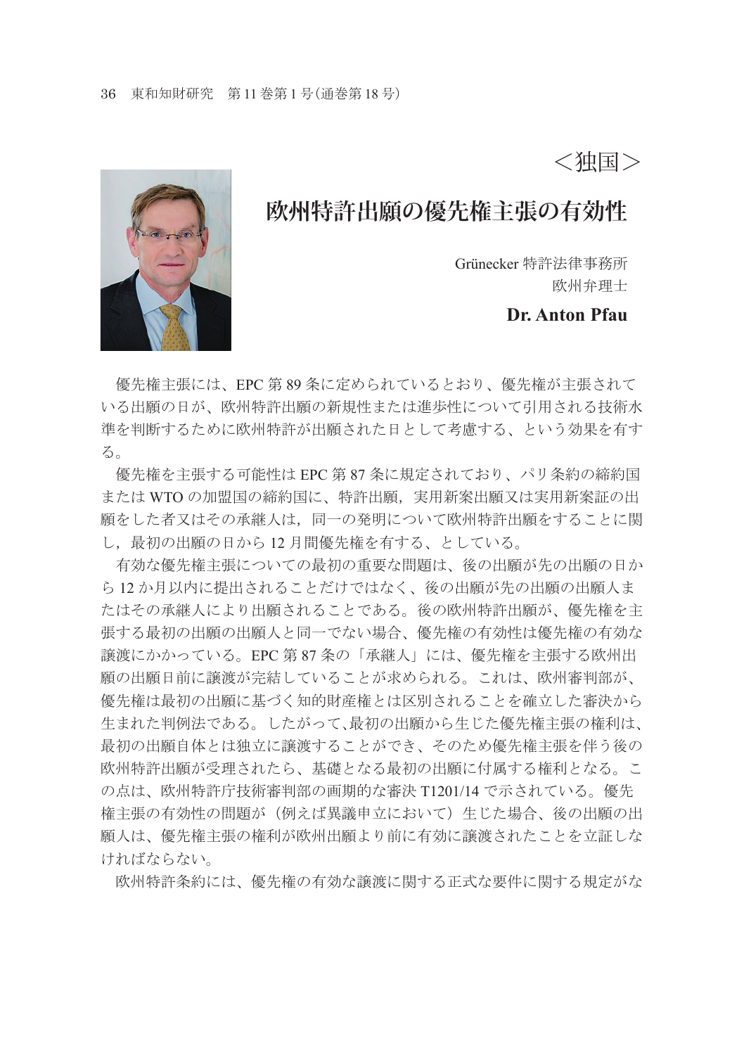<独国>

# **欧州特許出願の優先権主張の有効性**

Grünecker 特許法律事務所 欧州弁理士

**Dr. Anton Pfau**

 優先権主張には、EPC 第 89 条に定められているとおり、優先権が主張されて いる出願の日が、欧州特許出願の新規性または進歩性について引用される技術水 進を判断するために欧州特許が出願された日として考慮する。という効果を有す る。

 優先権を主張する可能性は EPC 第 87 条に規定されており、パリ条約の締約国 または WTO の加盟国の締約国に、特許出願,実用新案出願又は実用新案証の出 願をした者又はその承継人は,同一の発明について欧州特許出願をすることに関 し,最初の出願の日から 12 月間優先権を有する、としている。

 有効な優先権主張についての最初の重要な問題は、後の出願が先の出願の日か ら 12 か月以内に提出されることだけではなく、後の出願が先の出願の出願人ま たはその承継人により出願されることである。後の欧州特許出願が、優先権を主 張する最初の出願の出願人と同一でない場合、優先権の有効性は優先権の有効な 譲渡にかかっている。EPC 第 87 条の「承継人」には、優先権を主張する欧州出 願の出願日前に譲渡が完結していることが求められる。これは、欧州審判部が、 優先権は最初の出願に基づく知的財産権とは区別されることを確立した審決から 生まれた判例法である。したがって、最初の出願から生じた優先権主張の権利は、 最初の出願自体とは独立に譲渡することができ、そのため優先権主張を伴う後の 欧州特許出願が受理されたら、基礎となる最初の出願に付属する権利となる。こ の点は、欧州特許庁技術審判部の画期的な審決 T1201/14 で示されている。優先 権主張の有効性の問題が(例えば異議申立において)生じた場合、後の出願の出 願人は、優先権主張の権利が欧州出願より前に有効に譲渡されたことを立証しな ければならない。

欧州特許条約には、優先権の有効な譲渡に関する正式な要件に関する規定がな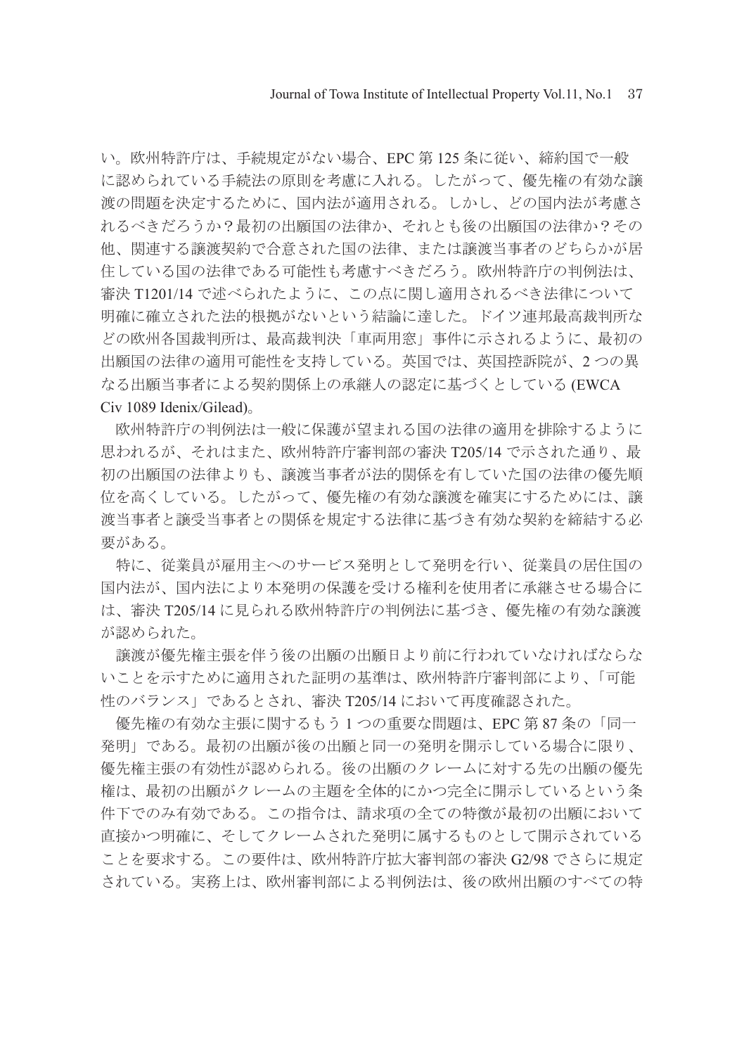い。欧州特許庁は、手続規定がない場合、EPC 第 125 条に従い、締約国で一般 に認められている手続法の原則を考慮に入れる。したがって、優先権の有効な譲 渡の問題を決定するために、国内法が適用される。しかし、どの国内法が考慮さ れるべきだろうか?最初の出願国の法律か、それとも後の出願国の法律か?その 他、関連する譲渡契約で合意された国の法律、または譲渡当事者のどちらかが居 住している国の法律である可能性も考慮すべきだろう。欧州特許庁の判例法は、 審決 T1201/14 で述べられたように、この点に関し適用されるべき法律について 明確に確立された法的根拠がないという結論に達した。ドイツ連邦最高裁判所な どの欧州各国裁判所は、最高裁判決「車両用窓」事件に示されるように、最初の 出願国の法律の適用可能性を支持している。英国では、英国控訴院が、2 つの異 なる出願当事者による契約関係上の承継人の認定に基づくとしている (EWCA Civ 1089 Idenix/Gilead)。

 欧州特許庁の判例法は一般に保護が望まれる国の法律の適用を排除するように 思われるが、それはまた、欧州特許庁審判部の審決 T205/14 で示された通り、最 初の出願国の法律よりも、譲渡当事者が法的関係を有していた国の法律の優先順 位を高くしている。したがって、優先権の有効な譲渡を確実にするためには、譲 渡当事者と譲受当事者との関係を規定する法律に基づき有効な契約を締結する必 要がある。

 特に、従業員が雇用主へのサービス発明として発明を行い、従業員の居住国の 国内法が、国内法により本発明の保護を受ける権利を使用者に承継させる場合に は、審決 T205/14 に見られる欧州特許庁の判例法に基づき、優先権の有効な譲渡 が認められた。

 譲渡が優先権主張を伴う後の出願の出願日より前に行われていなければならな いことを示すために適用された証明の基準は、欧州特許庁審判部により、「可能 性のバランス」であるとされ、審決 T205/14 において再度確認された。

 優先権の有効な主張に関するもう 1 つの重要な問題は、EPC 第 87 条の「同一 発明」である。最初の出願が後の出願と同一の発明を開示している場合に限り、 優先権主張の有効性が認められる。後の出願のクレームに対する先の出願の優先 権は、最初の出願がクレームの主題を全体的にかつ完全に開示しているという条 件下でのみ有効である。この指令は、請求項の全ての特徴が最初の出願において 直接かつ明確に、そしてクレームされた発明に属するものとして開示されている ことを要求する。この要件は、欧州特許庁拡大審判部の審決 G2/98 でさらに規定 されている。実務上は、欧州審判部による判例法は、後の欧州出願のすべての特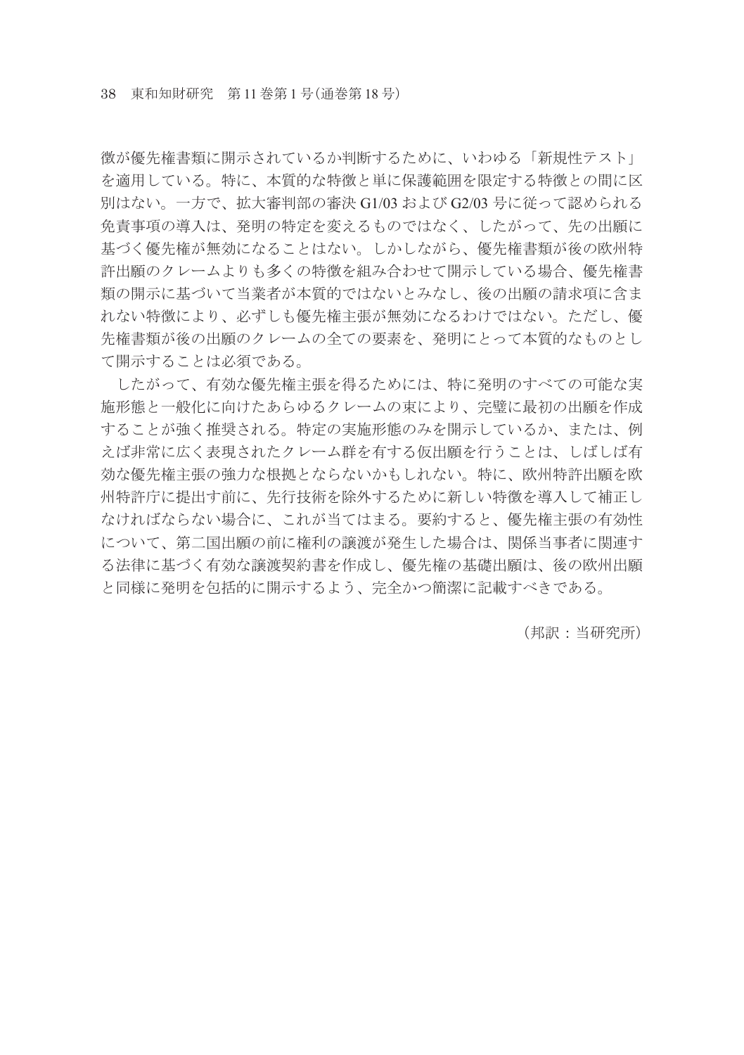徴が優先権書類に開示されているか判断するために、いわゆる「新規性テスト」 を適用している。特に、本質的な特徴と単に保護範囲を限定する特徴との間に区 別はない。一方で、拡大審判部の審決 G1/03 および G2/03 号に従って認められる 免責事項の導入は、発明の特定を変えるものではなく、したがって、先の出願に 基づく優先権が無効になることはない。しかしながら、優先権書類が後の欧州特 許出願のクレームよりも多くの特徴を組み合わせて開示している場合、優先権書 類の開示に基づいて当業者が本質的ではないとみなし、後の出願の請求項に含ま れない特徴により、必ずしも優先権主張が無効になるわけではない。ただし、優 先権書類が後の出願のクレームの全ての要素を、発明にとって本質的なものとし て開示することは必須である。

 したがって、有効な優先権主張を得るためには、特に発明のすべての可能な実 施形態と一般化に向けたあらゆるクレームの束により、完璧に最初の出願を作成 することが強く推奨される。特定の実施形態のみを開示しているか、または、例 えば非常に広く表現されたクレーム群を有する仮出願を行うことは、しばしば有 効な優先権主張の強力な根拠とならないかもしれない。特に、欧州特許出願を欧 州特許庁に提出す前に、先行技術を除外するために新しい特徴を導入して補正し なければならない場合に、これが当てはまる。要約すると、優先権主張の有効性 について、第二国出願の前に権利の譲渡が発生した場合は、関係当事者に関連す る法律に基づく有効な譲渡契約書を作成し、優先権の基礎出願は、後の欧州出願 と同様に発明を包括的に開示するよう、完全かつ簡潔に記載すべきである。

(邦訳:当研究所)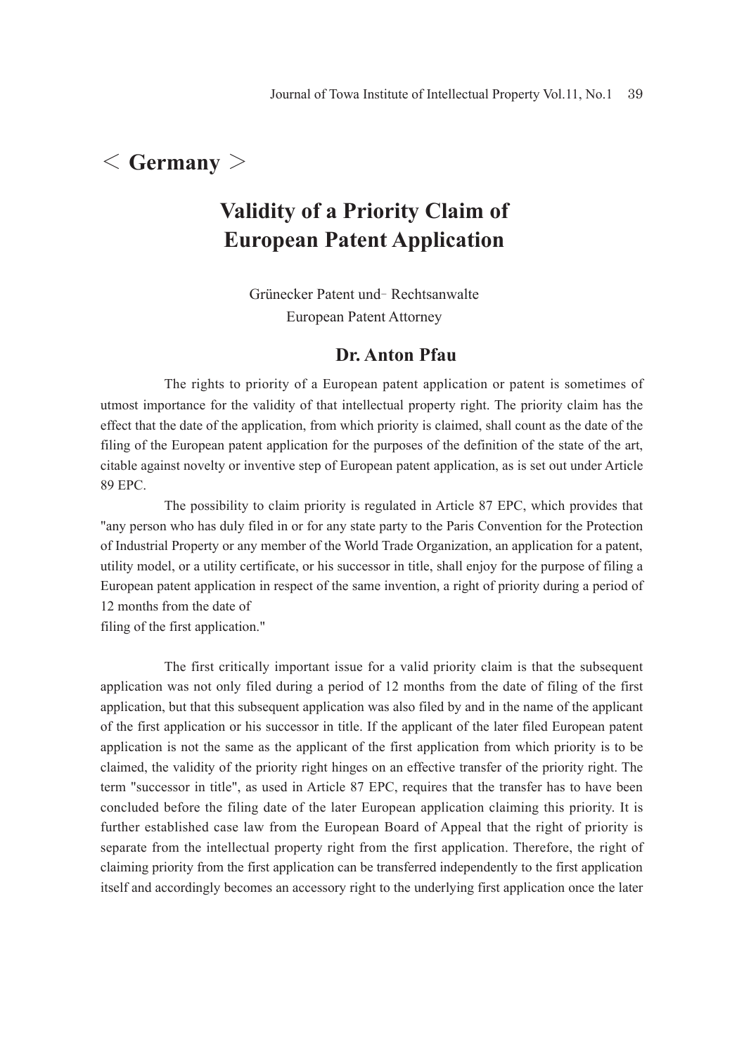## < **Germany** >

# **Validity of a Priority Claim of European Patent Application**

Grünecker Patent und- Rechtsanwalte European Patent Attorney

### **Dr. Anton Pfau**

The rights to priority of a European patent application or patent is sometimes of utmost importance for the validity of that intellectual property right. The priority claim has the effect that the date of the application, from which priority is claimed, shall count as the date of the filing of the European patent application for the purposes of the definition of the state of the art, citable against novelty or inventive step of European patent application, as is set out under Article 89 EPC.

 The possibility to claim priority is regulated in Article 87 EPC, which provides that "any person who has duly filed in or for any state party to the Paris Convention for the Protection of Industrial Property or any member of the World Trade Organization, an application for a patent, utility model, or a utility certificate, or his successor in title, shall enjoy for the purpose of filing a European patent application in respect of the same invention, a right of priority during a period of 12 months from the date of

filing of the first application."

 The first critically important issue for a valid priority claim is that the subsequent application was not only filed during a period of 12 months from the date of filing of the first application, but that this subsequent application was also filed by and in the name of the applicant of the first application or his successor in title. If the applicant of the later filed European patent application is not the same as the applicant of the first application from which priority is to be claimed, the validity of the priority right hinges on an effective transfer of the priority right. The term "successor in title", as used in Article 87 EPC, requires that the transfer has to have been concluded before the filing date of the later European application claiming this priority. It is further established case law from the European Board of Appeal that the right of priority is separate from the intellectual property right from the first application. Therefore, the right of claiming priority from the first application can be transferred independently to the first application itself and accordingly becomes an accessory right to the underlying first application once the later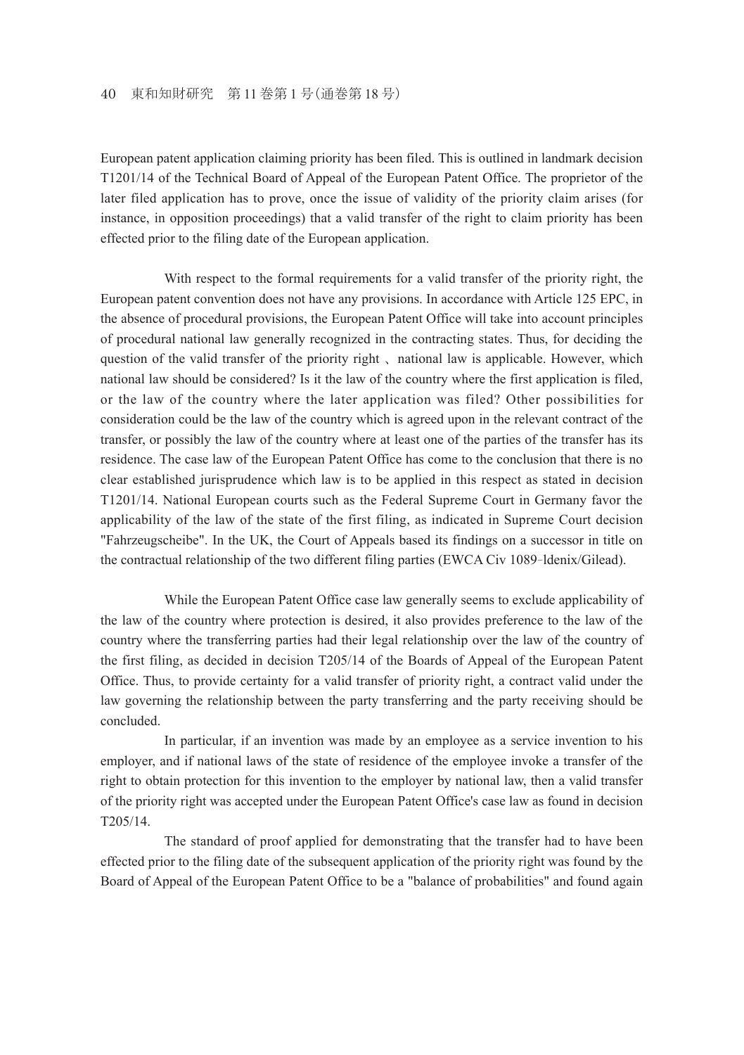European patent application claiming priority has been filed. This is outlined in landmark decision T1201/14 of the Technical Board of Appeal of the European Patent Office. The proprietor of the later filed application has to prove, once the issue of validity of the priority claim arises (for instance, in opposition proceedings) that a valid transfer of the right to claim priority has been effected prior to the filing date of the European application.

 With respect to the formal requirements for a valid transfer of the priority right, the European patent convention does not have any provisions. In accordance with Article 125 EPC, in the absence of procedural provisions, the European Patent Office will take into account principles of procedural national law generally recognized in the contracting states. Thus, for deciding the question of the valid transfer of the priority right 、national law is applicable. However, which national law should be considered? Is it the law of the country where the first application is filed, or the law of the country where the later application was filed? Other possibilities for consideration could be the law of the country which is agreed upon in the relevant contract of the transfer, or possibly the law of the country where at least one of the parties of the transfer has its residence. The case law of the European Patent Office has come to the conclusion that there is no clear established jurisprudence which law is to be applied in this respect as stated in decision T1201/14. National European courts such as the Federal Supreme Court in Germany favor the applicability of the law of the state of the first filing, as indicated in Supreme Court decision "Fahrzeugscheibe". In the UK, the Court of Appeals based its findings on a successor in title on the contractual relationship of the two different filing parties (EWCA Civ 1089- ldenix/Gilead).

 While the European Patent Office case law generally seems to exclude applicability of the law of the country where protection is desired, it also provides preference to the law of the country where the transferring parties had their legal relationship over the law of the country of the first filing, as decided in decision T205/14 of the Boards of Appeal of the European Patent Office. Thus, to provide certainty for a valid transfer of priority right, a contract valid under the law governing the relationship between the party transferring and the party receiving should be concluded.

 In particular, if an invention was made by an employee as a service invention to his employer, and if national laws of the state of residence of the employee invoke a transfer of the right to obtain protection for this invention to the employer by national law, then a valid transfer of the priority right was accepted under the European Patent Office's case law as found in decision T205/14.

 The standard of proof applied for demonstrating that the transfer had to have been effected prior to the filing date of the subsequent application of the priority right was found by the Board of Appeal of the European Patent Office to be a "balance of probabilities" and found again